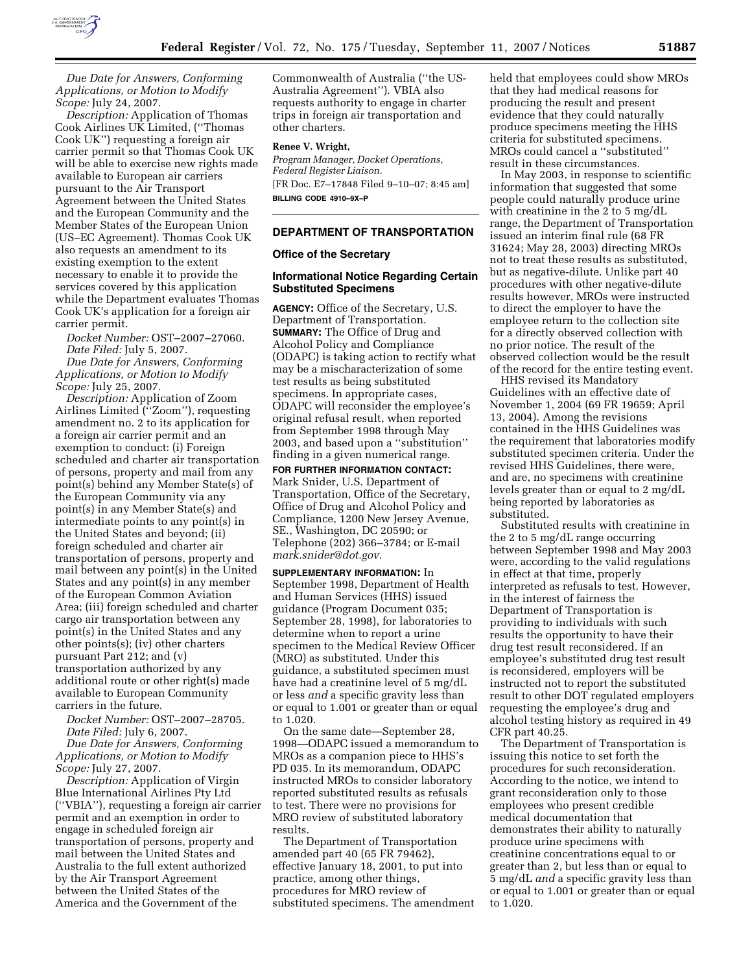

*Due Date for Answers, Conforming Applications, or Motion to Modify Scope:* July 24, 2007.

*Description:* Application of Thomas Cook Airlines UK Limited, (''Thomas Cook UK'') requesting a foreign air carrier permit so that Thomas Cook UK will be able to exercise new rights made available to European air carriers pursuant to the Air Transport Agreement between the United States and the European Community and the Member States of the European Union (US–EC Agreement). Thomas Cook UK also requests an amendment to its existing exemption to the extent necessary to enable it to provide the services covered by this application while the Department evaluates Thomas Cook UK's application for a foreign air carrier permit.

*Docket Number:* OST–2007–27060. *Date Filed:* July 5, 2007. *Due Date for Answers, Conforming Applications, or Motion to Modify Scope:* July 25, 2007.

*Description:* Application of Zoom Airlines Limited (''Zoom''), requesting amendment no. 2 to its application for a foreign air carrier permit and an exemption to conduct: (i) Foreign scheduled and charter air transportation of persons, property and mail from any point(s) behind any Member State(s) of the European Community via any point(s) in any Member State(s) and intermediate points to any point(s) in the United States and beyond; (ii) foreign scheduled and charter air transportation of persons, property and mail between any point(s) in the United States and any point(s) in any member of the European Common Aviation Area; (iii) foreign scheduled and charter cargo air transportation between any point(s) in the United States and any other points(s); (iv) other charters pursuant Part 212; and (v) transportation authorized by any additional route or other right(s) made available to European Community carriers in the future.

*Docket Number:* OST–2007–28705. *Date Filed:* July 6, 2007.

*Due Date for Answers, Conforming Applications, or Motion to Modify Scope:* July 27, 2007.

*Description:* Application of Virgin Blue International Airlines Pty Ltd (''VBIA''), requesting a foreign air carrier permit and an exemption in order to engage in scheduled foreign air transportation of persons, property and mail between the United States and Australia to the full extent authorized by the Air Transport Agreement between the United States of the America and the Government of the

Commonwealth of Australia (''the US-Australia Agreement''). VBIA also requests authority to engage in charter trips in foreign air transportation and other charters.

### **Renee V. Wright,**

*Program Manager, Docket Operations, Federal Register Liaison.*  [FR Doc. E7–17848 Filed 9–10–07; 8:45 am] **BILLING CODE 4910–9X–P** 

### **DEPARTMENT OF TRANSPORTATION**

### **Office of the Secretary**

### **Informational Notice Regarding Certain Substituted Specimens**

**AGENCY:** Office of the Secretary, U.S. Department of Transportation. **SUMMARY:** The Office of Drug and Alcohol Policy and Compliance (ODAPC) is taking action to rectify what may be a mischaracterization of some test results as being substituted specimens. In appropriate cases, ODAPC will reconsider the employee's original refusal result, when reported from September 1998 through May 2003, and based upon a ''substitution'' finding in a given numerical range.

**FOR FURTHER INFORMATION CONTACT:**  Mark Snider, U.S. Department of Transportation, Office of the Secretary, Office of Drug and Alcohol Policy and Compliance, 1200 New Jersey Avenue, SE., Washington, DC 20590; or Telephone (202) 366–3784; or E-mail *mark.snider@dot.gov.* 

**SUPPLEMENTARY INFORMATION:** In September 1998, Department of Health and Human Services (HHS) issued guidance (Program Document 035; September 28, 1998), for laboratories to determine when to report a urine specimen to the Medical Review Officer (MRO) as substituted. Under this guidance, a substituted specimen must have had a creatinine level of 5 mg/dL or less *and* a specific gravity less than or equal to 1.001 or greater than or equal to 1.020.

On the same date—September 28, 1998—ODAPC issued a memorandum to MROs as a companion piece to HHS's PD 035. In its memorandum, ODAPC instructed MROs to consider laboratory reported substituted results as refusals to test. There were no provisions for MRO review of substituted laboratory results.

The Department of Transportation amended part 40 (65 FR 79462), effective January 18, 2001, to put into practice, among other things, procedures for MRO review of substituted specimens. The amendment held that employees could show MROs that they had medical reasons for producing the result and present evidence that they could naturally produce specimens meeting the HHS criteria for substituted specimens. MROs could cancel a ''substituted'' result in these circumstances.

In May 2003, in response to scientific information that suggested that some people could naturally produce urine with creatinine in the 2 to 5 mg/dL range, the Department of Transportation issued an interim final rule (68 FR 31624; May 28, 2003) directing MROs not to treat these results as substituted, but as negative-dilute. Unlike part 40 procedures with other negative-dilute results however, MROs were instructed to direct the employer to have the employee return to the collection site for a directly observed collection with no prior notice. The result of the observed collection would be the result of the record for the entire testing event.

HHS revised its Mandatory Guidelines with an effective date of November 1, 2004 (69 FR 19659; April 13, 2004). Among the revisions contained in the HHS Guidelines was the requirement that laboratories modify substituted specimen criteria. Under the revised HHS Guidelines, there were, and are, no specimens with creatinine levels greater than or equal to 2 mg/dL being reported by laboratories as substituted.

Substituted results with creatinine in the 2 to 5 mg/dL range occurring between September 1998 and May 2003 were, according to the valid regulations in effect at that time, properly interpreted as refusals to test. However, in the interest of fairness the Department of Transportation is providing to individuals with such results the opportunity to have their drug test result reconsidered. If an employee's substituted drug test result is reconsidered, employers will be instructed not to report the substituted result to other DOT regulated employers requesting the employee's drug and alcohol testing history as required in 49 CFR part 40.25.

The Department of Transportation is issuing this notice to set forth the procedures for such reconsideration. According to the notice, we intend to grant reconsideration only to those employees who present credible medical documentation that demonstrates their ability to naturally produce urine specimens with creatinine concentrations equal to or greater than 2, but less than or equal to 5 mg/dL *and* a specific gravity less than or equal to 1.001 or greater than or equal to 1.020.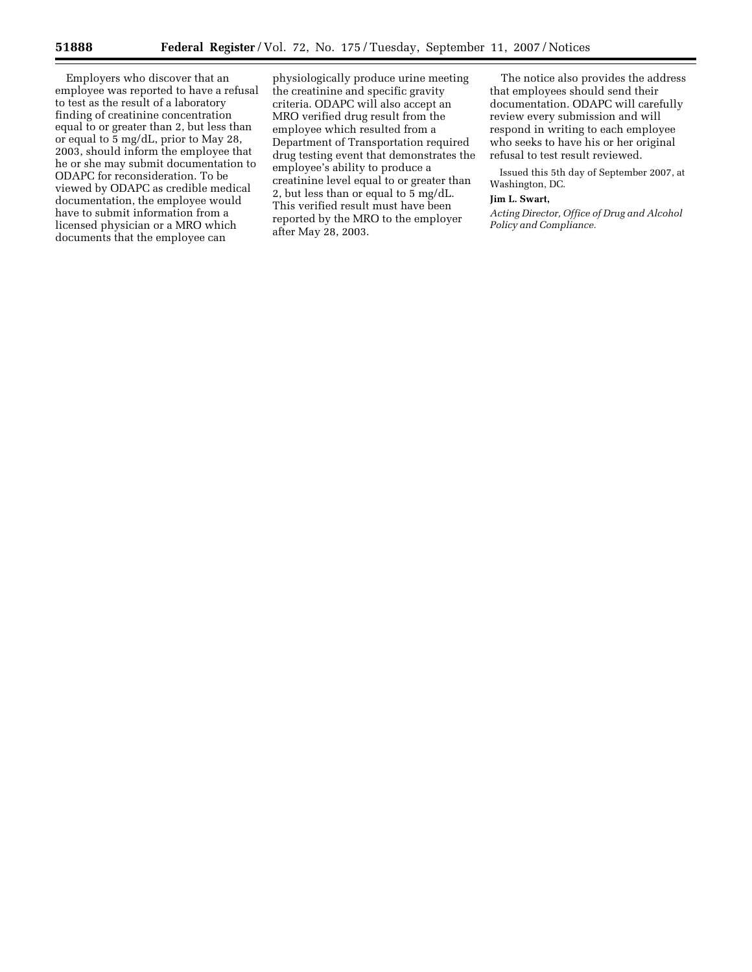Employers who discover that an employee was reported to have a refusal to test as the result of a laboratory finding of creatinine concentration equal to or greater than 2, but less than or equal to 5 mg/dL, prior to May 28, 2003, should inform the employee that he or she may submit documentation to ODAPC for reconsideration. To be viewed by ODAPC as credible medical documentation, the employee would have to submit information from a licensed physician or a MRO which documents that the employee can

physiologically produce urine meeting the creatinine and specific gravity criteria. ODAPC will also accept an MRO verified drug result from the employee which resulted from a Department of Transportation required drug testing event that demonstrates the employee's ability to produce a creatinine level equal to or greater than 2, but less than or equal to 5 mg/dL. This verified result must have been reported by the MRO to the employer after May 28, 2003.

The notice also provides the address that employees should send their documentation. ODAPC will carefully review every submission and will respond in writing to each employee who seeks to have his or her original refusal to test result reviewed.

Issued this 5th day of September 2007, at Washington, DC.

#### **Jim L. Swart,**

*Acting Director, Office of Drug and Alcohol Policy and Compliance.*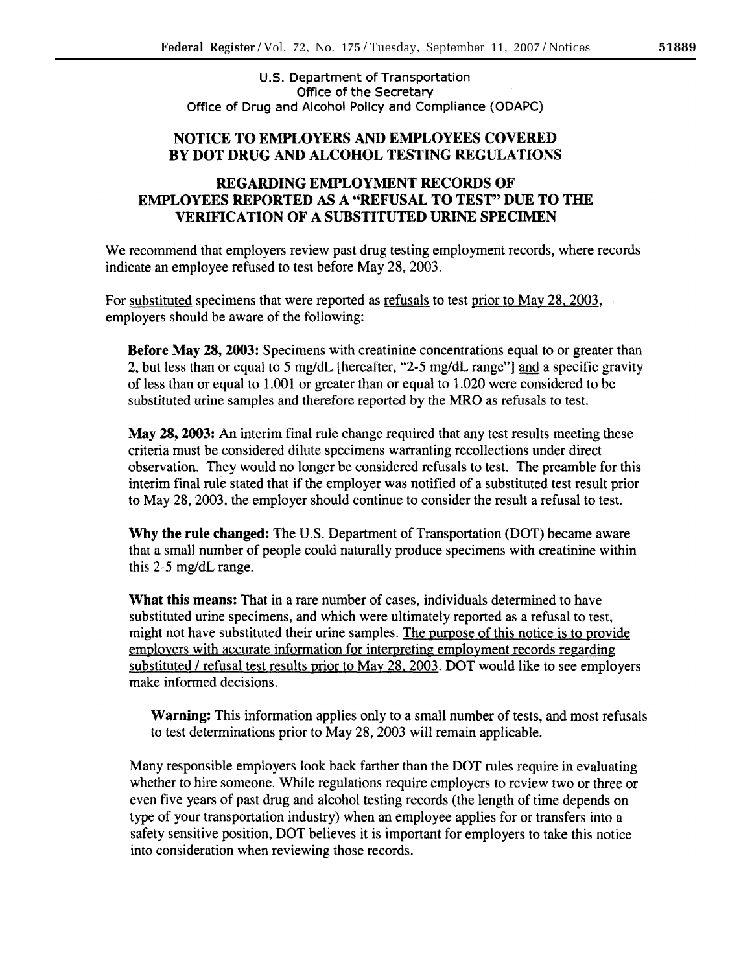U.S. Department of Transportation Office of the Secretary Office of Drug and Alcohol Policy and Compliance (ODAPC)

## NOTICE TO EMPLOYERS AND EMPLOYEES COVERED BY DOT DRUG AND ALCOHOL TESTING REGULATIONS

# REGARDING EMPLOYMENT RECORDS OF **EMPLOYEES REPORTED AS A "REFUSAL TO TEST" DUE TO THE VERIFICATION OF A SUBSTITUTED URINE SPECIMEN**

We recommend that employers review past drug testing employment records, where records indicate an employee refused to test before May 28, 2003.

For substituted specimens that were reported as refusals to test prior to May 28, 2003, employers should be aware of the following:

**Before May 28, 2003:** Specimens with creatinine concentrations equal to or greater than 2, but less than or equal to 5 mg/dL [hereafter, "2-5 mg/dL range"] and a specific gravity of less than or equal to 1.001 or greater than or equal to 1.020 were considered to be substituted urine samples and therefore reported by the MRO as refusals to test.

May 28, 2003: An interim final rule change required that any test results meeting these criteria must be considered dilute specimens warranting recollections under direct observation. They would no longer be considered refusals to test. The preamble for this interim final rule stated that if the employer was notified of a substituted test result prior to May 28, 2003, the employer should continue to consider the result a refusal to test.

Why the rule changed: The U.S. Department of Transportation (DOT) became aware that a small number of people could naturally produce specimens with creatinine within this 2-5 mg/dL range.

**What this means:** That in a rare number of cases, individuals determined to have substituted urine specimens, and which were ultimately reported as a refusal to test, might not have substituted their urine samples. The purpose of this notice is to provide employers with accurate information for interpreting employment records regarding substituted / refusal test results prior to May 28, 2003. DOT would like to see employers make informed decisions.

**Warning:** This information applies only to a small number of tests, and most refusals to test determinations prior to May 28, 2003 will remain applicable.

Many responsible employers look back farther than the DOT rules require in evaluating whether to hire someone. While regulations require employers to review two or three or even five years of past drug and alcohol testing records (the length of time depends on type of your transportation industry) when an employee applies for or transfers into a safety sensitive position, DOT believes it is important for employers to take this notice into consideration when reviewing those records.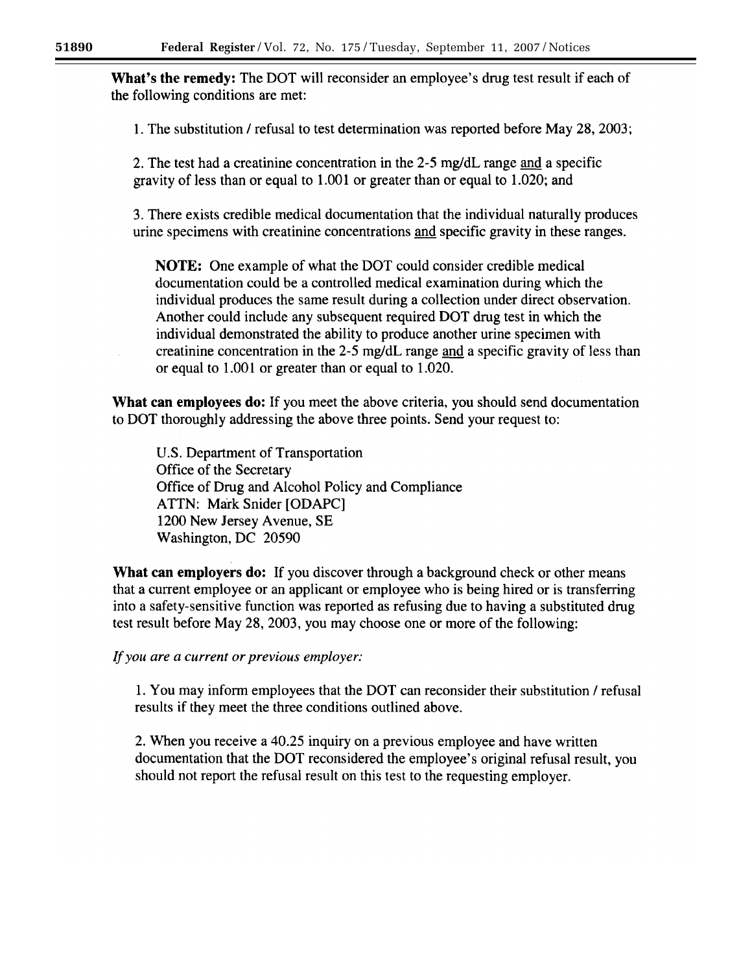**What's the remedy:** The DOT will reconsider an employee's drug test result if each of the following conditions are met:

1. The substitution / refusal to test determination was reported before May 28, 2003;

2. The test had a creatinine concentration in the 2-5 mg/dL range and a specific gravity of less than or equal to 1.001 or greater than or equal to 1.020; and

3. There exists credible medical documentation that the individual naturally produces urine specimens with creatinine concentrations and specific gravity in these ranges.

**NOTE:** One example of what the DOT could consider credible medical documentation could be a controlled medical examination during which the individual produces the same result during a collection under direct observation. Another could include any subsequent required DOT drug test in which the individual demonstrated the ability to produce another urine specimen with creatinine concentration in the 2-5 mg/dL range and a specific gravity of less than or equal to 1.001 or greater than or equal to 1.020.

**What can employees do:** If you meet the above criteria, you should send documentation to DOT thoroughly addressing the above three points. Send your request to:

U.S. Department of Transportation Office of the Secretary Office of Drug and Alcohol Policy and Compliance ATTN: Mark Snider [ODAPC] 1200 New Jersey Avenue, SE Washington, DC 20590

**What can employers do:** If you discover through a background check or other means that a current employee or an applicant or employee who is being hired or is transferring into a safety-sensitive function was reported as refusing due to having a substituted drug test result before May 28, 2003, you may choose one or more of the following:

If you are a current or previous employer:

1. You may inform employees that the DOT can reconsider their substitution / refusal results if they meet the three conditions outlined above.

2. When you receive a 40.25 inquiry on a previous employee and have written documentation that the DOT reconsidered the employee's original refusal result, you should not report the refusal result on this test to the requesting employer.